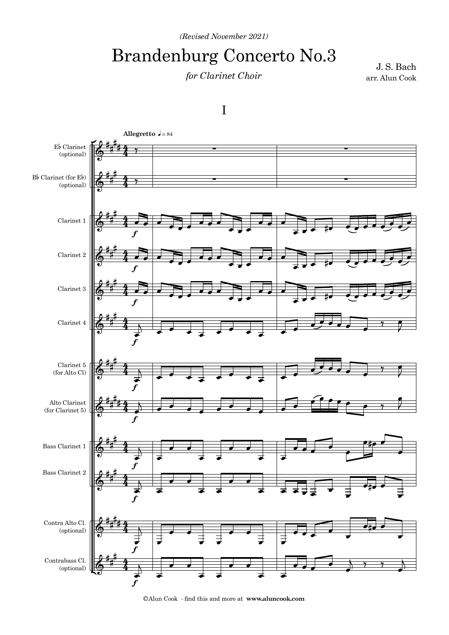*(Revised November 2021)*

## Brandenburg Concerto No.3

## *for Clarinet Choir*

arr. Alun Cook J. S. Bach



©Alun Cook - find this and more at **www.aluncook.com**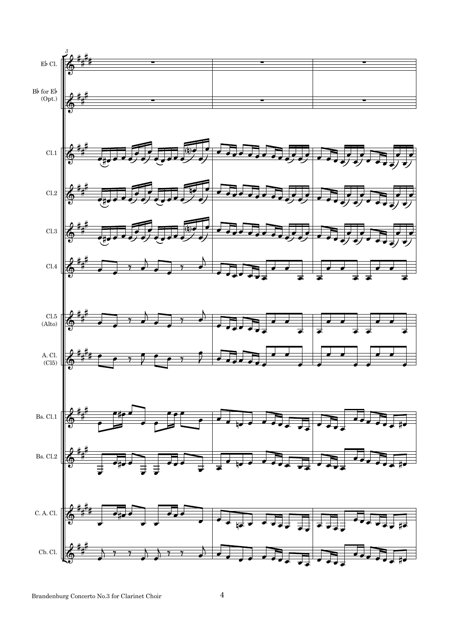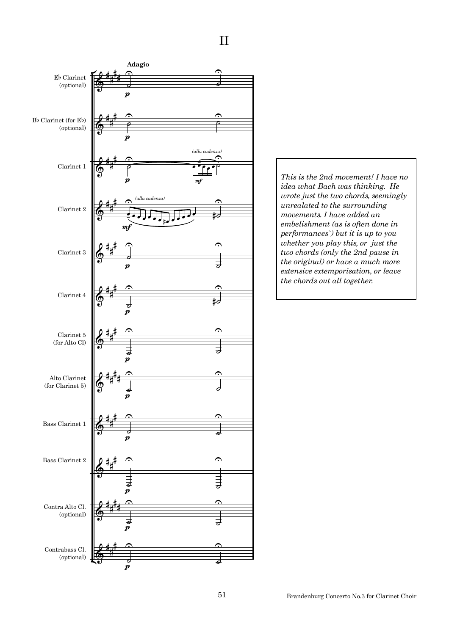

*This is the 2nd movement! I have no idea what Bach was thinking. He wrote just the two chords, seemingly unrealated to the surrounding movements. I have added an embelishment (as is often done in performances`) but it is up to you whether you play this, or just the two chords (only the 2nd pause in the original) or have a much more extensive extemporisation, or leave the chords out all together.*

Brandenburg Concerto No.3 for Clarinet Choir

II

51